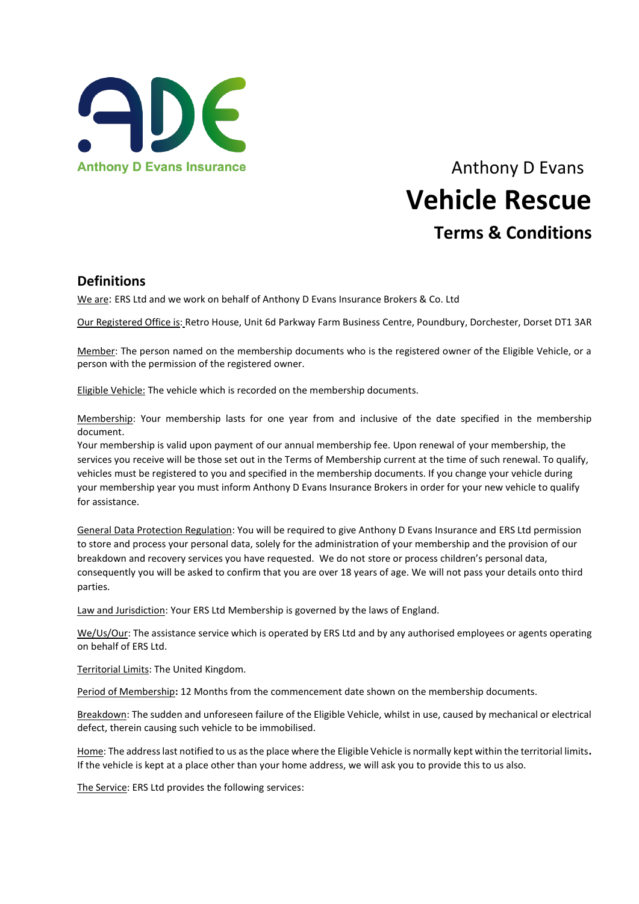

# Anthony D Evans Insurance Anthony D Evans **Vehicle Rescue Terms & Conditions**

#### **Definitions**

We are: ERS Ltd and we work on behalf of Anthony D Evans Insurance Brokers & Co. Ltd

Our Registered Office is: Retro House, Unit 6d Parkway Farm Business Centre, Poundbury, Dorchester, Dorset DT1 3AR

Member: The person named on the membership documents who is the registered owner of the Eligible Vehicle, or a person with the permission of the registered owner.

Eligible Vehicle: The vehicle which is recorded on the membership documents.

Membership: Your membership lasts for one year from and inclusive of the date specified in the membership document.

Your membership is valid upon payment of our annual membership fee. Upon renewal of your membership, the services you receive will be those set out in the Terms of Membership current at the time of such renewal. To qualify, vehicles must be registered to you and specified in the membership documents. If you change your vehicle during your membership year you must inform Anthony D Evans Insurance Brokers in order for your new vehicle to qualify for assistance.

General Data Protection Regulation: You will be required to give Anthony D Evans Insurance and ERS Ltd permission to store and process your personal data, solely for the administration of your membership and the provision of our breakdown and recovery services you have requested. We do not store or process children's personal data, consequently you will be asked to confirm that you are over 18 years of age. We will not pass your details onto third parties.

Law and Jurisdiction: Your ERS Ltd Membership is governed by the laws of England.

We/Us/Our: The assistance service which is operated by ERS Ltd and by any authorised employees or agents operating on behalf of ERS Ltd.

Territorial Limits: The United Kingdom.

Period of Membership**:** 12 Months from the commencement date shown on the membership documents.

Breakdown: The sudden and unforeseen failure of the Eligible Vehicle, whilst in use, caused by mechanical or electrical defect, therein causing such vehicle to be immobilised.

Home: The address last notified to us as the place where the Eligible Vehicle is normally kept within the territorial limits**.**  If the vehicle is kept at a place other than your home address, we will ask you to provide this to us also.

The Service: ERS Ltd provides the following services: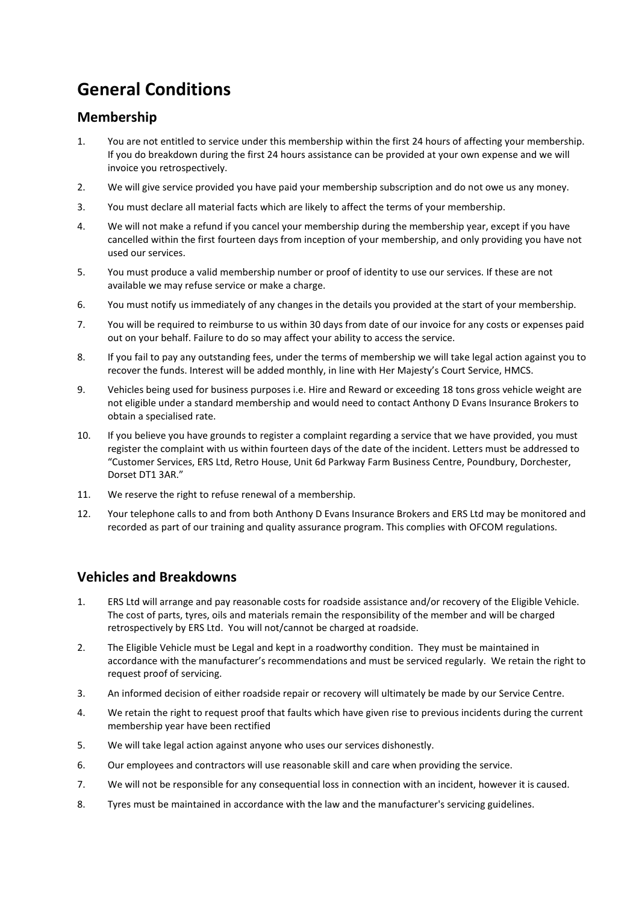## **General Conditions**

#### **Membership**

- 1. You are not entitled to service under this membership within the first 24 hours of affecting your membership. If you do breakdown during the first 24 hours assistance can be provided at your own expense and we will invoice you retrospectively.
- 2. We will give service provided you have paid your membership subscription and do not owe us any money.
- 3. You must declare all material facts which are likely to affect the terms of your membership.
- 4. We will not make a refund if you cancel your membership during the membership year, except if you have cancelled within the first fourteen days from inception of your membership, and only providing you have not used our services.
- 5. You must produce a valid membership number or proof of identity to use our services. If these are not available we may refuse service or make a charge.
- 6. You must notify us immediately of any changes in the details you provided at the start of your membership.
- 7. You will be required to reimburse to us within 30 days from date of our invoice for any costs or expenses paid out on your behalf. Failure to do so may affect your ability to access the service.
- 8. If you fail to pay any outstanding fees, under the terms of membership we will take legal action against you to recover the funds. Interest will be added monthly, in line with Her Majesty's Court Service, HMCS.
- 9. Vehicles being used for business purposes i.e. Hire and Reward or exceeding 18 tons gross vehicle weight are not eligible under a standard membership and would need to contact Anthony D Evans Insurance Brokers to obtain a specialised rate.
- 10. If you believe you have grounds to register a complaint regarding a service that we have provided, you must register the complaint with us within fourteen days of the date of the incident. Letters must be addressed to "Customer Services, ERS Ltd, Retro House, Unit 6d Parkway Farm Business Centre, Poundbury, Dorchester, Dorset DT1 3AR."
- 11. We reserve the right to refuse renewal of a membership.
- 12. Your telephone calls to and from both Anthony D Evans Insurance Brokers and ERS Ltd may be monitored and recorded as part of our training and quality assurance program. This complies with OFCOM regulations.

#### **Vehicles and Breakdowns**

- 1. ERS Ltd will arrange and pay reasonable costs for roadside assistance and/or recovery of the Eligible Vehicle. The cost of parts, tyres, oils and materials remain the responsibility of the member and will be charged retrospectively by ERS Ltd. You will not/cannot be charged at roadside.
- 2. The Eligible Vehicle must be Legal and kept in a roadworthy condition. They must be maintained in accordance with the manufacturer's recommendations and must be serviced regularly. We retain the right to request proof of servicing.
- 3. An informed decision of either roadside repair or recovery will ultimately be made by our Service Centre.
- 4. We retain the right to request proof that faults which have given rise to previous incidents during the current membership year have been rectified
- 5. We will take legal action against anyone who uses our services dishonestly.
- 6. Our employees and contractors will use reasonable skill and care when providing the service.
- 7. We will not be responsible for any consequential loss in connection with an incident, however it is caused.
- 8. Tyres must be maintained in accordance with the law and the manufacturer's servicing guidelines.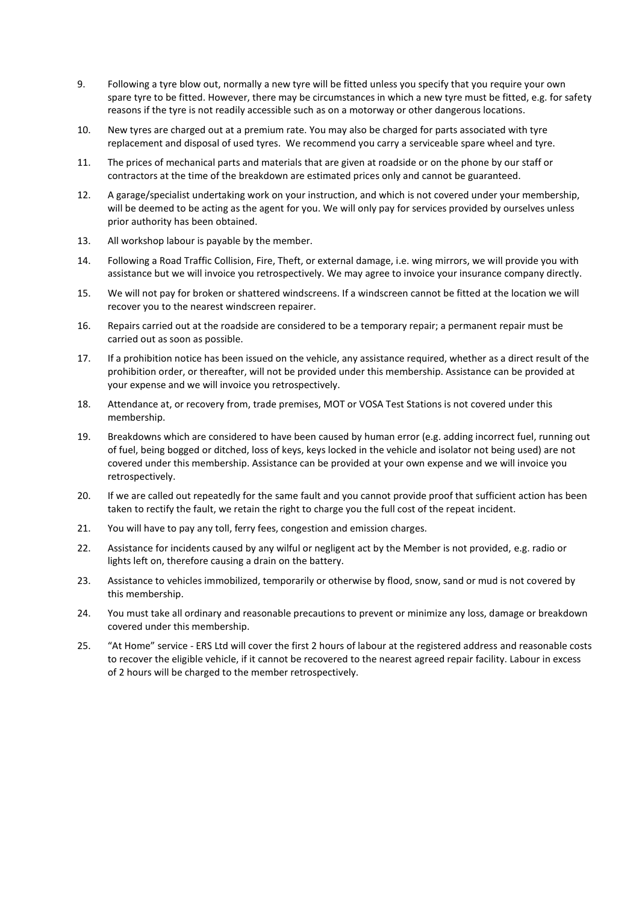- 9. Following a tyre blow out, normally a new tyre will be fitted unless you specify that you require your own spare tyre to be fitted. However, there may be circumstances in which a new tyre must be fitted, e.g. for safety reasons if the tyre is not readily accessible such as on a motorway or other dangerous locations.
- 10. New tyres are charged out at a premium rate. You may also be charged for parts associated with tyre replacement and disposal of used tyres. We recommend you carry a serviceable spare wheel and tyre.
- 11. The prices of mechanical parts and materials that are given at roadside or on the phone by our staff or contractors at the time of the breakdown are estimated prices only and cannot be guaranteed.
- 12. A garage/specialist undertaking work on your instruction, and which is not covered under your membership, will be deemed to be acting as the agent for you. We will only pay for services provided by ourselves unless prior authority has been obtained.
- 13. All workshop labour is payable by the member.
- 14. Following a Road Traffic Collision, Fire, Theft, or external damage, i.e. wing mirrors, we will provide you with assistance but we will invoice you retrospectively. We may agree to invoice your insurance company directly.
- 15. We will not pay for broken or shattered windscreens. If a windscreen cannot be fitted at the location we will recover you to the nearest windscreen repairer.
- 16. Repairs carried out at the roadside are considered to be a temporary repair; a permanent repair must be carried out as soon as possible.
- 17. If a prohibition notice has been issued on the vehicle, any assistance required, whether as a direct result of the prohibition order, or thereafter, will not be provided under this membership. Assistance can be provided at your expense and we will invoice you retrospectively.
- 18. Attendance at, or recovery from, trade premises, MOT or VOSA Test Stations is not covered under this membership.
- 19. Breakdowns which are considered to have been caused by human error (e.g. adding incorrect fuel, running out of fuel, being bogged or ditched, loss of keys, keys locked in the vehicle and isolator not being used) are not covered under this membership. Assistance can be provided at your own expense and we will invoice you retrospectively.
- 20. If we are called out repeatedly for the same fault and you cannot provide proof that sufficient action has been taken to rectify the fault, we retain the right to charge you the full cost of the repeat incident.
- 21. You will have to pay any toll, ferry fees, congestion and emission charges.
- 22. Assistance for incidents caused by any wilful or negligent act by the Member is not provided, e.g. radio or lights left on, therefore causing a drain on the battery.
- 23. Assistance to vehicles immobilized, temporarily or otherwise by flood, snow, sand or mud is not covered by this membership.
- 24. You must take all ordinary and reasonable precautions to prevent or minimize any loss, damage or breakdown covered under this membership.
- 25. "At Home" service ERS Ltd will cover the first 2 hours of labour at the registered address and reasonable costs to recover the eligible vehicle, if it cannot be recovered to the nearest agreed repair facility. Labour in excess of 2 hours will be charged to the member retrospectively.